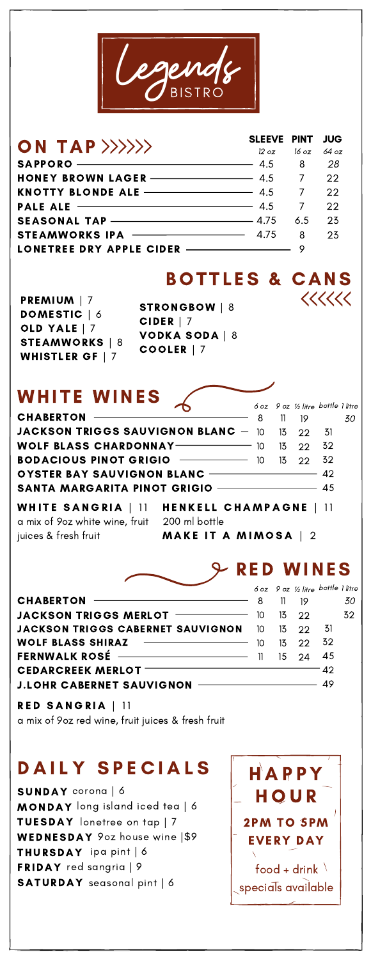

#### SAPPORO-HONEY BROWN LAGER KNOTTY BLONDE ALE PALE ALE SEASONAL TAP-STEAMWORKS IPA LONETREE DRY APPLE CIDER SLEEVE PINT 12 oz 4.5 4.5 4.5 4.5 4.75 4.75 16 oz 8 7 7 7 6.5 8 9 JUG 64 oz 28 22 22 22 23 23 ON TAP>>>>>>>

**BOTTLES & CANS** 

 $\langle\langle\langle\langle\langle\langle$ 

PREMIUM | 7 DOMESTIC | 6 OLD YALE | 7 STEAMWORKS | 8 WHISTLER GF | 7

STRONGBOW | 8 CIDER | 7 VODKA SODA | 8 COOLER | 7

## WHITE WINES

|  | 8 11 19 | 6 oz 9 oz ½ litre bottle 1 litre<br>30<br><b>JACKSON TRIGGS SAUVIGNON BLANC</b> $-$ 10 13 22 31<br><b>OYSTER BAY SAUVIGNON BLANC -</b> 42<br><b>SANTA MARGARITA PINOT GRIGIO _________________</b> 45 |
|--|---------|-------------------------------------------------------------------------------------------------------------------------------------------------------------------------------------------------------|

 $\mathcal{L}$ 

a mix of 9oz white wine, fruit 200 ml bottle juices & fresh fruit

WHITE SANGRIA  $\vert$  11 HENKELL CHAMPAGNE  $\vert$  11

MAKE IT A MIMOSA  $\mid 2$ 

# R ED WINES

|                                                          |    | 6 oz 9 oz 1/3 litre bottle 1 litre |    |    |
|----------------------------------------------------------|----|------------------------------------|----|----|
| CHABERTON – 8                                            |    | $11 \quad 19$                      |    | 30 |
| <b>JACKSON TRIGGS MERLOT</b> $\frac{10}{10}$ 10 13 22 32 |    |                                    |    |    |
| <b>JACKSON TRIGGS CABERNET SAUVIGNON</b> 10 13 22 31     |    |                                    |    |    |
|                                                          | 10 | $13 \t 22 \t 32$                   |    |    |
| FERNWALK ROSÉ - 11                                       |    | 15 24                              | 45 |    |
| <b>CEDARCREEK MERLOT</b>                                 |    |                                    | 42 |    |
| J.LOHR CABERNET SAUVIGNON - THE CABERNET SAUVIGNON       |    |                                    |    |    |

RED SANGRIA | 11 a mix of 9oz red wine, fruit juices & fresh fruit

# DAILY SPECIALS

SUNDAY corona | 6 MONDAY long island iced tea | 6 TUESDAY lonetree on tap | 7 WEDNESDAY 90z house wine |\$9 THURSDAY ipa pint | 6 FRIDAY red sangria | 9 SATURDAY seasonal pint | 6